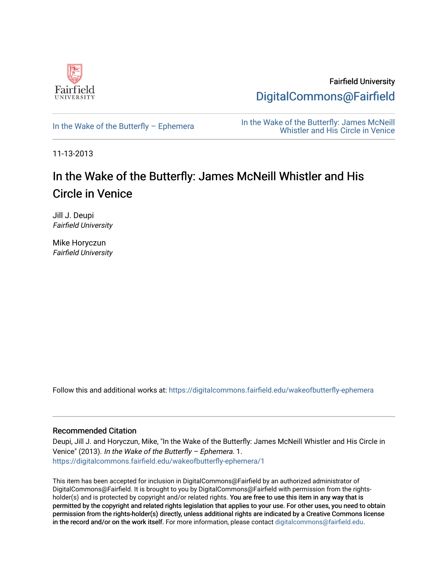

Fairfield University [DigitalCommons@Fairfield](https://digitalcommons.fairfield.edu/) 

In the Wake of the Butterfly – Ephemera<br>In the Wake of the Butterfly: James McNeill<br>Whistler and His Circle in Venice [Whistler and His Circle in Venice](https://digitalcommons.fairfield.edu/wakeofbutterfly) 

11-13-2013

## In the Wake of the Butterfly: James McNeill Whistler and His Circle in Venice

Jill J. Deupi Fairfield University

Mike Horyczun Fairfield University

Follow this and additional works at: [https://digitalcommons.fairfield.edu/wakeofbutterfly-ephemera](https://digitalcommons.fairfield.edu/wakeofbutterfly-ephemera?utm_source=digitalcommons.fairfield.edu%2Fwakeofbutterfly-ephemera%2F1&utm_medium=PDF&utm_campaign=PDFCoverPages)

## Recommended Citation

Deupi, Jill J. and Horyczun, Mike, "In the Wake of the Butterfly: James McNeill Whistler and His Circle in Venice" (2013). In the Wake of the Butterfly – Ephemera. 1. [https://digitalcommons.fairfield.edu/wakeofbutterfly-ephemera/1](https://digitalcommons.fairfield.edu/wakeofbutterfly-ephemera/1?utm_source=digitalcommons.fairfield.edu%2Fwakeofbutterfly-ephemera%2F1&utm_medium=PDF&utm_campaign=PDFCoverPages) 

This item has been accepted for inclusion in DigitalCommons@Fairfield by an authorized administrator of DigitalCommons@Fairfield. It is brought to you by DigitalCommons@Fairfield with permission from the rightsholder(s) and is protected by copyright and/or related rights. You are free to use this item in any way that is permitted by the copyright and related rights legislation that applies to your use. For other uses, you need to obtain permission from the rights-holder(s) directly, unless additional rights are indicated by a Creative Commons license in the record and/or on the work itself. For more information, please contact [digitalcommons@fairfield.edu.](mailto:digitalcommons@fairfield.edu)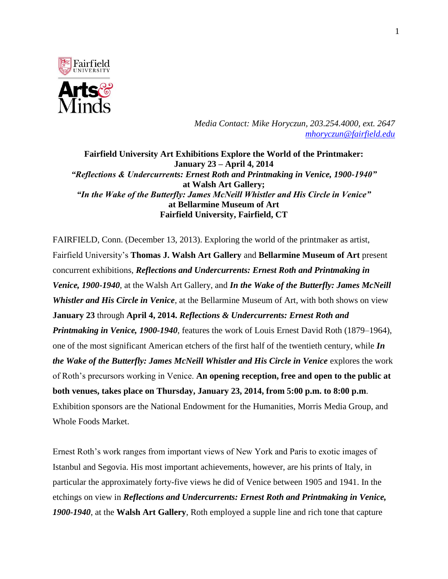

*Media Contact: Mike Horyczun, 203.254.4000, ext. 2647 [mhoryczun@fairfield.edu](mailto:mhoryczun@fairfield.edu)*

**Fairfield University Art Exhibitions Explore the World of the Printmaker: January 23 – April 4, 2014** *"Reflections & Undercurrents: Ernest Roth and Printmaking in Venice, 1900-1940"* **at Walsh Art Gallery;** *"In the Wake of the Butterfly: James McNeill Whistler and His Circle in Venice"* **at Bellarmine Museum of Art Fairfield University, Fairfield, CT**

FAIRFIELD, Conn. (December 13, 2013). Exploring the world of the printmaker as artist, Fairfield University's **Thomas J. Walsh Art Gallery** and **Bellarmine Museum of Art** present concurrent exhibitions, *Reflections and Undercurrents: Ernest Roth and Printmaking in Venice, 1900-1940*, at the Walsh Art Gallery, and *In the Wake of the Butterfly: James McNeill Whistler and His Circle in Venice*, at the Bellarmine Museum of Art, with both shows on view **January 23** through **April 4, 2014.** *Reflections & Undercurrents: Ernest Roth and Printmaking in Venice, 1900-1940*, features the work of Louis Ernest David Roth (1879–1964), one of the most significant American etchers of the first half of the twentieth century, while *In the Wake of the Butterfly: James McNeill Whistler and His Circle in Venice* explores the work of Roth's precursors working in Venice. **An opening reception, free and open to the public at both venues, takes place on Thursday, January 23, 2014, from 5:00 p.m. to 8:00 p.m**. Exhibition sponsors are the National Endowment for the Humanities, Morris Media Group, and Whole Foods Market.

Ernest Roth's work ranges from important views of New York and Paris to exotic images of Istanbul and Segovia. His most important achievements, however, are his prints of Italy, in particular the approximately forty-five views he did of Venice between 1905 and 1941. In the etchings on view in *Reflections and Undercurrents: Ernest Roth and Printmaking in Venice, 1900-1940*, at the **Walsh Art Gallery**, Roth employed a supple line and rich tone that capture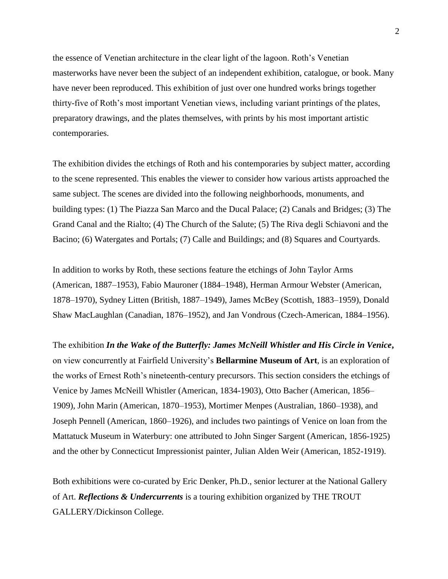the essence of Venetian architecture in the clear light of the lagoon. Roth's Venetian masterworks have never been the subject of an independent exhibition, catalogue, or book. Many have never been reproduced. This exhibition of just over one hundred works brings together thirty-five of Roth's most important Venetian views, including variant printings of the plates, preparatory drawings, and the plates themselves, with prints by his most important artistic contemporaries.

The exhibition divides the etchings of Roth and his contemporaries by subject matter, according to the scene represented. This enables the viewer to consider how various artists approached the same subject. The scenes are divided into the following neighborhoods, monuments, and building types: (1) The Piazza San Marco and the Ducal Palace; (2) Canals and Bridges; (3) The Grand Canal and the Rialto; (4) The Church of the Salute; (5) The Riva degli Schiavoni and the Bacino; (6) Watergates and Portals; (7) Calle and Buildings; and (8) Squares and Courtyards.

In addition to works by Roth, these sections feature the etchings of John Taylor Arms (American, 1887–1953), Fabio Mauroner (1884–1948), Herman Armour Webster (American, 1878–1970), Sydney Litten (British, 1887–1949), James McBey (Scottish, 1883–1959), Donald Shaw MacLaughlan (Canadian, 1876–1952), and Jan Vondrous (Czech-American, 1884–1956).

The exhibition *In the Wake of the Butterfly: James McNeill Whistler and His Circle in Venice***,**  on view concurrently at Fairfield University's **Bellarmine Museum of Art**, is an exploration of the works of Ernest Roth's nineteenth-century precursors. This section considers the etchings of Venice by James McNeill Whistler (American, 1834-1903), Otto Bacher (American, 1856– 1909), John Marin (American, 1870–1953), Mortimer Menpes (Australian, 1860–1938), and Joseph Pennell (American, 1860–1926), and includes two paintings of Venice on loan from the Mattatuck Museum in Waterbury: one attributed to John Singer Sargent (American, 1856-1925) and the other by Connecticut Impressionist painter, Julian Alden Weir (American, 1852-1919).

Both exhibitions were co-curated by Eric Denker, Ph.D., senior lecturer at the National Gallery of Art. *Reflections & Undercurrents* is a touring exhibition organized by THE TROUT GALLERY/Dickinson College.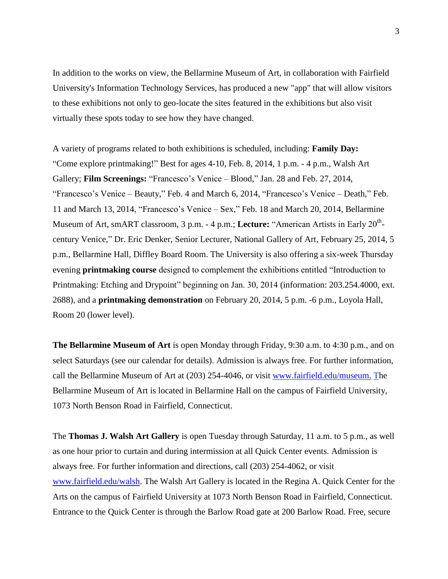In addition to the works on view, the Bellarmine Museum of Art, in collaboration with Fairfield University's Information Technology Services, has produced a new "app" that will allow visitors to these exhibitions not only to geo-locate the sites featured in the exhibitions but also visit virtually these spots today to see how they have changed.

A variety of programs related to both exhibitions is scheduled, including: **Family Day:** "Come explore printmaking!" Best for ages 4-10, Feb. 8, 2014, 1 p.m. - 4 p.m., Walsh Art Gallery; **Film Screenings:** "Francesco's Venice – Blood," Jan. 28 and Feb. 27, 2014, "Francesco's Venice – Beauty," Feb. 4 and March 6, 2014, "Francesco's Venice – Death," Feb. 11 and March 13, 2014, "Francesco's Venice – Sex," Feb. 18 and March 20, 2014, Bellarmine Museum of Art, smART classroom, 3 p.m. - 4 p.m.; Lecture: "American Artists in Early 20<sup>th</sup>century Venice," Dr. Eric Denker, Senior Lecturer, National Gallery of Art, February 25, 2014, 5 p.m., Bellarmine Hall, Diffley Board Room. The University is also offering a six-week Thursday evening **printmaking course** designed to complement the exhibitions entitled "Introduction to Printmaking: Etching and Drypoint" beginning on Jan. 30, 2014 (information: 203.254.4000, ext. 2688), and a **printmaking demonstration** on February 20, 2014, 5 p.m. -6 p.m., Loyola Hall, Room 20 (lower level).

**The Bellarmine Museum of Art** is open Monday through Friday, 9:30 a.m. to 4:30 p.m., and on select Saturdays (see our calendar for details). Admission is always free. For further information, call the Bellarmine Museum of Art at (203) 254-4046, or visit [www.fairfield.edu/museum.](http://www.fairfield.edu/museum) The Bellarmine Museum of Art is located in Bellarmine Hall on the campus of Fairfield University, 1073 North Benson Road in Fairfield, Connecticut.

The **Thomas J. Walsh Art Gallery** is open Tuesday through Saturday, 11 a.m. to 5 p.m., as well as one hour prior to curtain and during intermission at all Quick Center events. Admission is always free. For further information and directions, call (203) 254-4062, or visit [www.fairfield.edu/walsh.](http://www.fairfield.edu/walsh) The Walsh Art Gallery is located in the Regina A. Quick Center for the Arts on the campus of Fairfield University at 1073 North Benson Road in Fairfield, Connecticut. Entrance to the Quick Center is through the Barlow Road gate at 200 Barlow Road. Free, secure